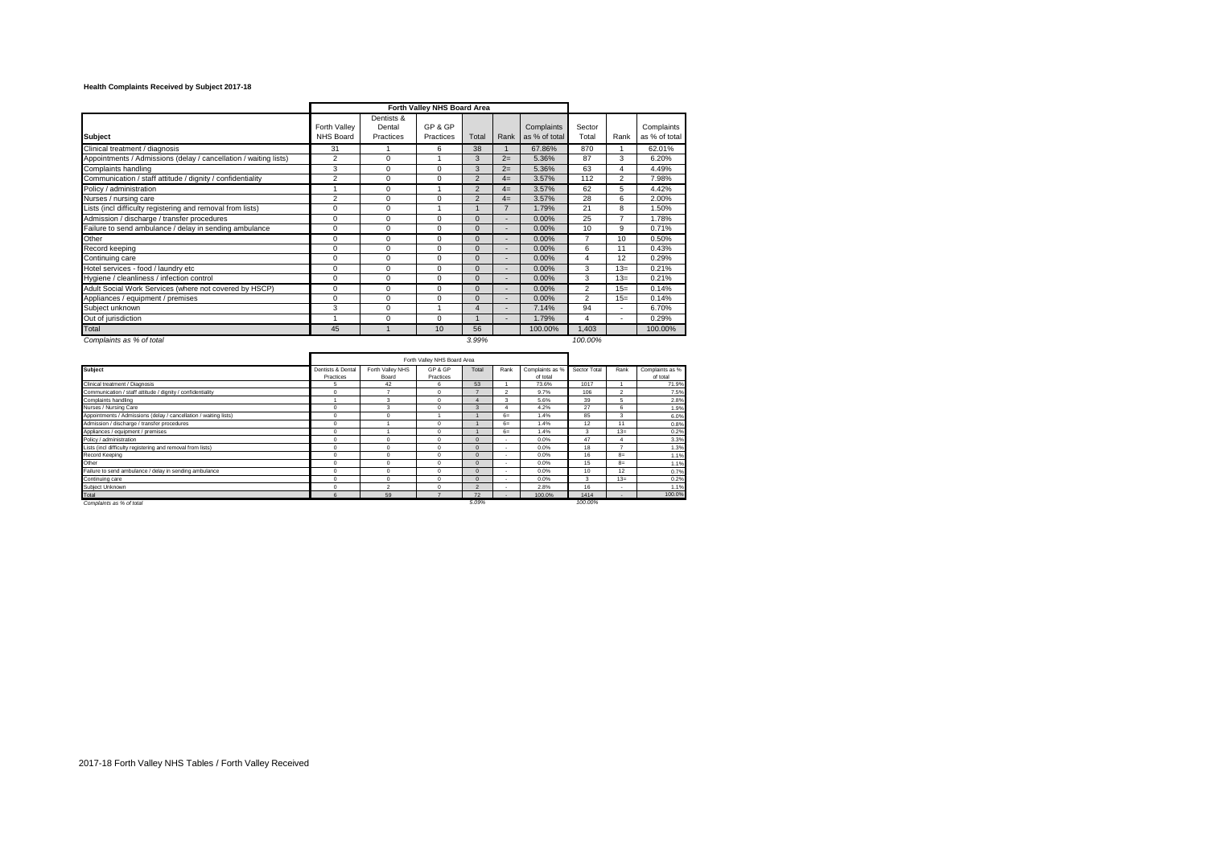## **Health Complaints Received by Subject 2017-18**

|                                                                  |                                  |                                   | Forth Valley NHS Board Area |                |                |                             |                 |                       |                             |
|------------------------------------------------------------------|----------------------------------|-----------------------------------|-----------------------------|----------------|----------------|-----------------------------|-----------------|-----------------------|-----------------------------|
| <b>Subject</b>                                                   | Forth Valley<br><b>NHS Board</b> | Dentists &<br>Dental<br>Practices | GP & GP<br>Practices        | Total          | Rank           | Complaints<br>as % of total | Sector<br>Total | Rank                  | Complaints<br>as % of total |
| Clinical treatment / diagnosis                                   | 31                               |                                   | 6                           | 38             |                | 67.86%                      | 870             |                       | 62.01%                      |
| Appointments / Admissions (delay / cancellation / waiting lists) | $\overline{2}$                   | 0                                 |                             | 3              | $2=$           | 5.36%                       | 87              | 3                     | 6.20%                       |
| Complaints handling                                              | 3                                | $\Omega$                          | $\Omega$                    | 3              | $2=$           | 5.36%                       | 63              | $\boldsymbol{\Delta}$ | 4.49%                       |
| Communication / staff attitude / dignity / confidentiality       | $\overline{2}$                   | $\Omega$                          | $\Omega$                    | $\overline{2}$ | $4=$           | 3.57%                       | 112             | $\overline{2}$        | 7.98%                       |
| Policy / administration                                          |                                  | 0                                 |                             | $\overline{2}$ | $4=$           | 3.57%                       | 62              | 5                     | 4.42%                       |
| Nurses / nursing care                                            | $\overline{2}$                   | 0                                 | 0                           | $\overline{2}$ | $4=$           | 3.57%                       | 28              | 6                     | 2.00%                       |
| Lists (incl difficulty registering and removal from lists)       | $\mathbf 0$                      | 0                                 |                             |                | $\overline{ }$ | 1.79%                       | 21              | 8                     | 1.50%                       |
| Admission / discharge / transfer procedures                      | $\mathbf 0$                      | $\Omega$                          | $\mathbf 0$                 | $\Omega$       | ٠              | 0.00%                       | 25              | $\overline{7}$        | 1.78%                       |
| Failure to send ambulance / delay in sending ambulance           | $\mathbf 0$                      | 0                                 | 0                           | $\Omega$       | ٠              | $0.00\%$                    | 10              | 9                     | 0.71%                       |
| Other                                                            | $\mathbf 0$                      | 0                                 | $\mathbf 0$                 | $\Omega$       | ٠              | $0.00\%$                    | $\overline{7}$  | 10                    | 0.50%                       |
| Record keeping                                                   | $\Omega$                         | $\Omega$                          | $\Omega$                    | $\Omega$       | ٠              | 0.00%                       | 6               | 11                    | 0.43%                       |
| Continuing care                                                  | $\Omega$                         | $\Omega$                          | $\Omega$                    | $\Omega$       | ٠              | $0.00\%$                    | 4               | 12                    | 0.29%                       |
| Hotel services - food / laundry etc                              | $\Omega$                         | $\Omega$                          | 0                           | $\Omega$       | ٠              | $0.00\%$                    | 3               | $13=$                 | 0.21%                       |
| Hygiene / cleanliness / infection control                        | $\Omega$                         | $\Omega$                          | $\Omega$                    | $\Omega$       | ٠              | 0.00%                       | 3               | $13=$                 | 0.21%                       |
| Adult Social Work Services (where not covered by HSCP)           | $\mathbf 0$                      | $\Omega$                          | 0                           | $\Omega$       | ۰              | $0.00\%$                    | $\overline{2}$  | $15=$                 | 0.14%                       |
| Appliances / equipment / premises                                | $\Omega$                         | $\Omega$                          | 0                           | $\Omega$       | ٠              | 0.00%                       | $\mathfrak{p}$  | $15=$                 | 0.14%                       |
| Subject unknown                                                  | 3                                | 0                                 |                             | $\overline{4}$ | ٠              | 7.14%                       | 94              | ٠                     | 6.70%                       |
| Out of jurisdiction                                              |                                  | 0                                 | 0                           |                | ٠              | 1.79%                       | 4               |                       | 0.29%                       |
| Total                                                            | 45                               |                                   | 10                          | 56             |                | 100.00%                     | 1.403           |                       | 100.00%                     |
| Complaints as % of total                                         |                                  |                                   |                             | 3.99%          |                |                             | 100.00%         |                       |                             |

|                                                                  | Forth Valley NHS Board Area    |                           |                      |              |                          |                             |              |                          |                             |
|------------------------------------------------------------------|--------------------------------|---------------------------|----------------------|--------------|--------------------------|-----------------------------|--------------|--------------------------|-----------------------------|
| <b>Subject</b>                                                   | Dentists & Dental<br>Practices | Forth Valley NHS<br>Board | GP & GP<br>Practices | Total        | Rank                     | Complaints as %<br>of total | Sector Total | Rank                     | Complaints as %<br>of total |
| Clinical treatment / Diagnosis                                   | 5                              | 42                        | 6                    | 53           |                          | 73.6%                       | 1017         |                          | 71.9%                       |
| Communication / staff attitude / dignity / confidentiality       | $\Omega$                       | ۰                         | $\mathbf 0$          |              | $\overline{\phantom{a}}$ | 9.7%                        | 106          | $\overline{\phantom{a}}$ | 7.5%                        |
| Complaints handling                                              |                                | 3                         | $\Omega$             |              | 3                        | 5.6%                        | 39           | 5                        | 2.8%                        |
| Nurses / Nursing Care                                            | $\Omega$                       | 3                         | $\Omega$             | 3            |                          | 4.2%                        | 27           | 6                        | 1.9%                        |
| Appointments / Admissions (delay / cancellation / waiting lists) | $\Omega$                       | O                         |                      |              | $6-$                     | 1.4%                        | 85           | 3                        | 6.0%                        |
| Admission / discharge / transfer procedures                      | 0                              |                           | $\mathbf 0$          |              | $6=$                     | 1.4%                        | 12           | 11                       | 0.8%                        |
| Appliances / equipment / premises                                | $\Omega$                       |                           | $\Omega$             |              | $6-$                     | 1.4%                        | 3            | $13=$                    | 0.2%                        |
| Policy / administration                                          | 0                              |                           | $\mathbf 0$          | $\mathbf{0}$ | ٠                        | 0.0%                        | 47           |                          | 3.3%                        |
| Lists (incl difficulty registering and removal from lists)       | 0                              |                           | $\mathbf 0$          | $\mathbf{0}$ | ٠                        | 0.0%                        | 18           |                          | 1.3%                        |
| Record Keeping                                                   | $\Omega$                       |                           | $\Omega$             | $\Omega$     | ٠                        | 0.0%                        | 16           | $R =$                    | 1.1%                        |
| Other                                                            | $\Omega$                       |                           | $\mathbf 0$          | $\Omega$     | ٠                        | 0.0%                        | 15           | $R =$                    | 1.1%                        |
| Failure to send ambulance / delay in sending ambulance           | $\Omega$                       |                           | $\Omega$             | $\Omega$     | ٠                        | 0.0%                        | 10           | 12                       | 0.7%                        |
| Continuing care                                                  | $\Omega$                       |                           | $\Omega$             | $\Omega$     | ٠                        | 0.0%                        | 3            | $13 =$                   | 0.2%                        |
| Subject Unknown                                                  | $\Omega$                       | o                         | $\Omega$             |              |                          | 2.8%                        | 16           | $\sim$                   | 1.1%                        |
| Total                                                            | 6                              | 59                        |                      | 72           | ٠                        | 100.0%                      | 1414         | $\sim$                   | 100.0%                      |
| Complaints as % of total                                         |                                |                           |                      | 5.09%        |                          |                             | 100.00%      |                          |                             |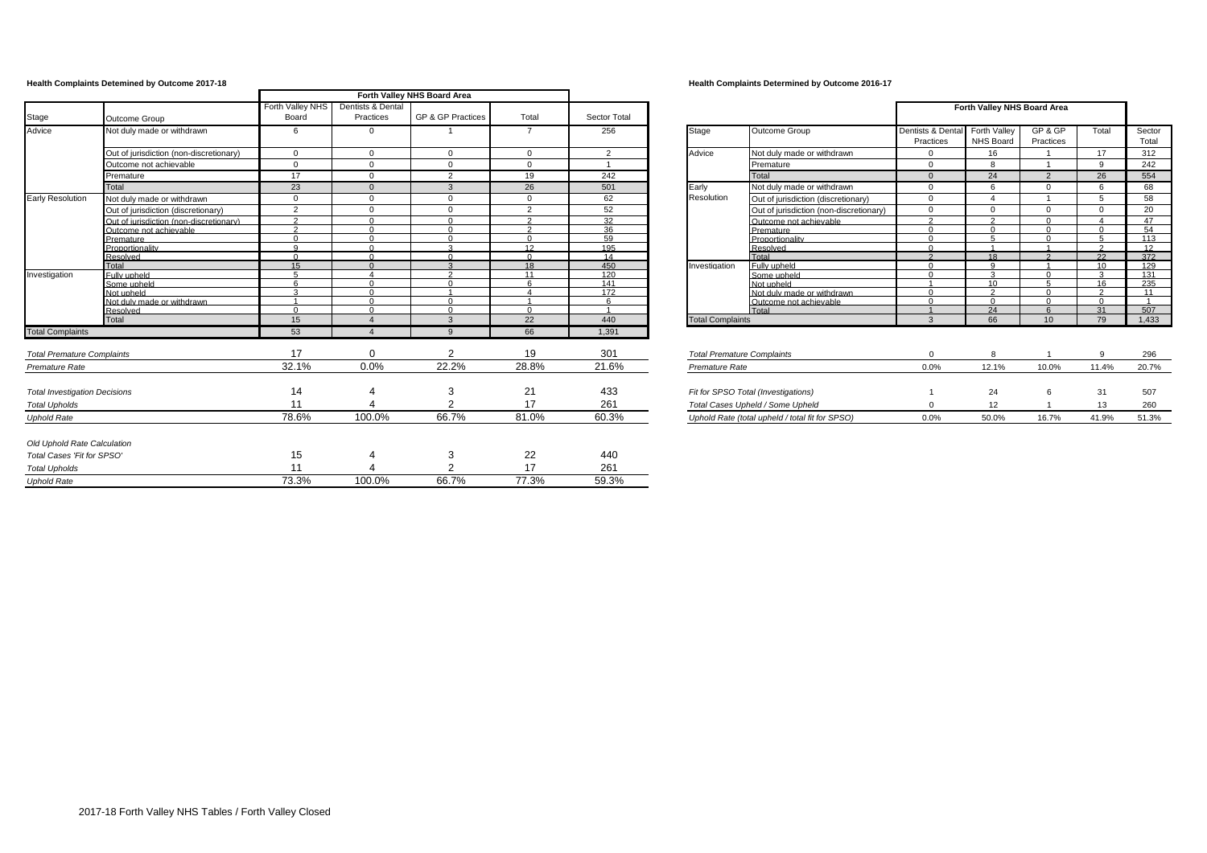|                                      |                                         |                           |                                | Forth Valley NHS Board Area |                 |              |                                   |                                                 |                                |                                         |                          |                     |                 |
|--------------------------------------|-----------------------------------------|---------------------------|--------------------------------|-----------------------------|-----------------|--------------|-----------------------------------|-------------------------------------------------|--------------------------------|-----------------------------------------|--------------------------|---------------------|-----------------|
| Stage                                | Outcome Group                           | Forth Valley NHS<br>Board | Dentists & Dental<br>Practices | GP & GP Practices           | Total           | Sector Total |                                   |                                                 |                                | Forth Valley NHS Board Area             |                          |                     |                 |
| Advice                               | Not duly made or withdrawn              | 6                         | $\overline{0}$                 |                             | $\overline{7}$  | 256          | Stage                             | Outcome Group                                   | Dentists & Dental<br>Practices | <b>Forth Valley</b><br><b>NHS Board</b> | GP & GP<br>Practices     | Total               | Sector<br>Total |
|                                      | Out of jurisdiction (non-discretionary) | $\overline{0}$            | $\Omega$                       | $\mathbf{0}$                | $\Omega$        | 2            | Advice                            | Not duly made or withdrawn                      | $\Omega$                       | 16                                      |                          | 17                  | 312             |
|                                      | Outcome not achievable                  | $\Omega$                  | $\overline{0}$                 | $\Omega$                    | $\Omega$        |              |                                   | Premature                                       | $\Omega$                       | 8                                       |                          | 9                   | 242             |
|                                      | Premature                               | 17                        | $\Omega$                       | 2                           | 19              | 242          |                                   | Total                                           | $\overline{0}$                 | 24                                      | $\overline{2}$           | 26                  | 554             |
|                                      | Total                                   | 23                        | $\Omega$                       | 3                           | 26              | 501          | Early                             | Not duly made or withdrawn                      | $\Omega$                       | 6                                       | $\Omega$                 | 6                   | 68              |
| <b>Early Resolution</b>              | Not duly made or withdrawn              | $\Omega$                  | $\Omega$                       | $\Omega$                    | $\Omega$        | 62           | Resolution                        | Out of jurisdiction (discretionary)             | $\mathbf{0}$                   |                                         |                          | 5                   | 58              |
|                                      | Out of jurisdiction (discretionary)     | $\overline{2}$            | $\Omega$                       | $\Omega$                    | $\overline{2}$  | 52           |                                   | Out of jurisdiction (non-discretionary)         | $\mathbf{0}$                   | $\Omega$                                | $\mathbf{0}$             | $\Omega$            | 20              |
|                                      | Out of jurisdiction (non-discretionary) | $\sim$                    | $\Omega$                       | $\Omega$                    | $\sim$          | 32           |                                   | Outcome not achievable                          | $\gamma$                       | $\Omega$                                | $\Omega$                 | $\Delta$            | 47              |
|                                      | Outcome not achievable                  | $\Omega$                  | $\sqrt{ }$                     | $\cap$                      | $\sim$          | 36           |                                   | Premature                                       | $\Omega$                       | $\Omega$                                | $\Omega$                 | $\Omega$            | 54              |
|                                      | Premature                               | $\sqrt{ }$                | $\sqrt{ }$                     | $\Omega$                    | $\Omega$        | 59           |                                   | Proportionality                                 | $\Omega$                       |                                         | $\Omega$                 | Б.                  | 113             |
|                                      | Proportionality                         | $\alpha$                  | $\sim$                         | $\sim$                      | 12 <sub>1</sub> | 195          |                                   | Resolved                                        | $\Omega$                       |                                         |                          | $\Omega$            | 12              |
|                                      | Resolved                                | $\Omega$                  |                                | $\Omega$                    |                 | 14           |                                   | Total                                           | $\Omega$                       | 18                                      |                          | 22                  | 372             |
|                                      | Total                                   | 15                        |                                |                             | 18              | 450          | Investigation                     | Fully upheld                                    | $\cap$                         | $\Omega$<br>$\sim$                      |                          | 10 <sup>1</sup>     | 129             |
| Investigation                        | Fully upheld                            |                           | $\sqrt{ }$                     | $\Omega$                    | 11<br><b>G</b>  | 120          |                                   | Some upheld                                     | $\cap$                         | 10                                      | $\Omega$<br>$\mathbf{r}$ | $\mathbf{r}$        | 131             |
|                                      | Some upheld<br>Not upheld               | ີ                         | $\sqrt{ }$                     |                             | $\lambda$       | 141<br>172   |                                   | Not upheld<br>Not duly made or withdrawn        | $\cap$                         | $\sim$                                  | $\Omega$                 | 16<br>$\mathcal{D}$ | 235<br>11       |
|                                      | Not duly made or withdrawn              |                           |                                | $\Omega$                    |                 |              |                                   | Outcome not achievable                          |                                |                                         |                          | $\Omega$            | $\sim$          |
|                                      | Resolved                                | $\cap$                    | $\sim$                         | $\cap$                      | $\Omega$        |              |                                   | Total                                           |                                | 24                                      |                          | 31                  | 507             |
|                                      | Total                                   | 15                        |                                | 3                           | 22              | 440          | <b>Total Complaints</b>           |                                                 | $\mathbf{3}$                   | 66                                      | 10                       | 79                  | 1,433           |
| <b>Total Complaints</b>              |                                         | 53                        | $\Delta$                       | $\alpha$                    | 66              | 1,391        |                                   |                                                 |                                |                                         |                          |                     |                 |
| <b>Total Premature Complaints</b>    |                                         | 17                        | $\Omega$                       | 2                           | 19              | 301          | <b>Total Premature Complaints</b> |                                                 | $\Omega$                       | 8                                       |                          | 9                   | 296             |
| Premature Rate                       |                                         | 32.1%                     | 0.0%                           | 22.2%                       | 28.8%           | 21.6%        | Premature Rate                    |                                                 | 0.0%                           | 12.1%                                   | 10.0%                    | 11.4%               | 20.7%           |
|                                      |                                         |                           |                                |                             |                 |              |                                   |                                                 |                                |                                         |                          |                     |                 |
| <b>Total Investigation Decisions</b> |                                         | 14                        | 4                              | 3                           | 21              | 433          |                                   | Fit for SPSO Total (Investigations)             |                                | 24                                      |                          | 31                  | 507             |
| <b>Total Upholds</b>                 |                                         | 11                        |                                |                             | 17              | 261          |                                   | Total Cases Upheld / Some Upheld                |                                | 12                                      |                          | 13                  | 260             |
| <b>Uphold Rate</b>                   |                                         | 78.6%                     | 100.0%                         | 66.7%                       | 81.0%           | 60.3%        |                                   | Uphold Rate (total upheld / total fit for SPSO) | 0.0%                           | 50.0%                                   | 16.7%                    | 41.9%               | 51.3%           |
| Old Uphold Rate Calculation          |                                         |                           |                                |                             |                 |              |                                   |                                                 |                                |                                         |                          |                     |                 |
| Total Cases 'Fit for SPSO'           |                                         | 15                        | 4                              | 3                           | 22              | 440          |                                   |                                                 |                                |                                         |                          |                     |                 |
| <b>Total Upholds</b>                 |                                         | 11                        |                                | ◠                           | 17              | 261          |                                   |                                                 |                                |                                         |                          |                     |                 |
|                                      |                                         | 73.3%                     | 100.0%                         | 66.7%                       | 77.3%           | 59.3%        |                                   |                                                 |                                |                                         |                          |                     |                 |
| <b>Uphold Rate</b>                   |                                         |                           |                                |                             |                 |              |                                   |                                                 |                                |                                         |                          |                     |                 |

## **Health Complaints Detemined by Outcome 2017-18 Health Complaints Determined by Outcome 2016-17**

|                                   |                                                 |                                | Forth Valley NHS Board Area      |                      |                |                 |
|-----------------------------------|-------------------------------------------------|--------------------------------|----------------------------------|----------------------|----------------|-----------------|
| Stage                             | Outcome Group                                   | Dentists & Dental<br>Practices | Forth Valley<br><b>NHS Board</b> | GP & GP<br>Practices | Total          | Sector<br>Total |
| Advice                            | Not duly made or withdrawn                      | 0                              | 16                               | 1                    | 17             | 312             |
|                                   | Premature                                       | 0                              | 8                                | 1                    | 9              | 242             |
|                                   | Total                                           | $\Omega$                       | 24                               | $\overline{2}$       | 26             | 554             |
| Early                             | Not duly made or withdrawn                      | 0                              | 6                                | 0                    | 6              | 68              |
| Resolution                        | Out of jurisdiction (discretionary)             | 0                              | 4                                | 1                    | 5              | 58              |
|                                   | Out of jurisdiction (non-discretionary)         | 0                              | $\Omega$                         | $\Omega$             | 0              | 20              |
|                                   | Outcome not achievable                          | $\overline{2}$                 | $\overline{2}$                   | 0                    | 4              | 47              |
|                                   | Premature                                       | $\Omega$                       | $\Omega$                         | $\Omega$             | $\Omega$       | 54              |
|                                   | Proportionality                                 | $\Omega$                       | 5                                | $\Omega$             | 5              | 113             |
|                                   | Resolved                                        | $\Omega$                       |                                  | 4                    | $\mathfrak{p}$ | 12              |
|                                   | Total                                           | $\mathfrak{p}$                 | 18                               | $\mathcal{P}$        | 22             | 372             |
| Investigation                     | Fully upheld                                    | $\Omega$                       | 9                                | 1                    | 10             | 129             |
|                                   | Some upheld                                     | $\Omega$                       | 3                                | $\Omega$             | 3              | 131             |
|                                   | Not upheld                                      |                                | 10                               | 5                    | 16             | 235             |
|                                   | Not duly made or withdrawn                      | $\Omega$                       | $\overline{2}$                   | 0                    | 2              | 11              |
|                                   | Outcome not achievable                          | $\Omega$                       | $\Omega$                         | $\Omega$             | $\Omega$       |                 |
|                                   | Total                                           | $\overline{A}$                 | 24                               | 6                    | 31             | 507             |
| <b>Total Complaints</b>           |                                                 | 3                              | 66                               | 10                   | 79             | 1,433           |
|                                   |                                                 |                                |                                  |                      |                |                 |
| <b>Total Premature Complaints</b> |                                                 | 0                              | 8                                | 1                    | 9              | 296             |
| Premature Rate                    |                                                 | 0.0%                           | 12.1%                            | 10.0%                | 11.4%          | 20.7%           |
|                                   |                                                 |                                |                                  |                      |                |                 |
|                                   | Fit for SPSO Total (Investigations)             | 1                              | 24                               | 6                    | 31             | 507             |
|                                   | Total Cases Upheld / Some Upheld                | 0                              | 12                               | 1                    | 13             | 260             |
|                                   | Uphold Rate (total upheld / total fit for SPSO) | 0.0%                           | 50.0%                            | 16.7%                | 41.9%          | 51.3%           |